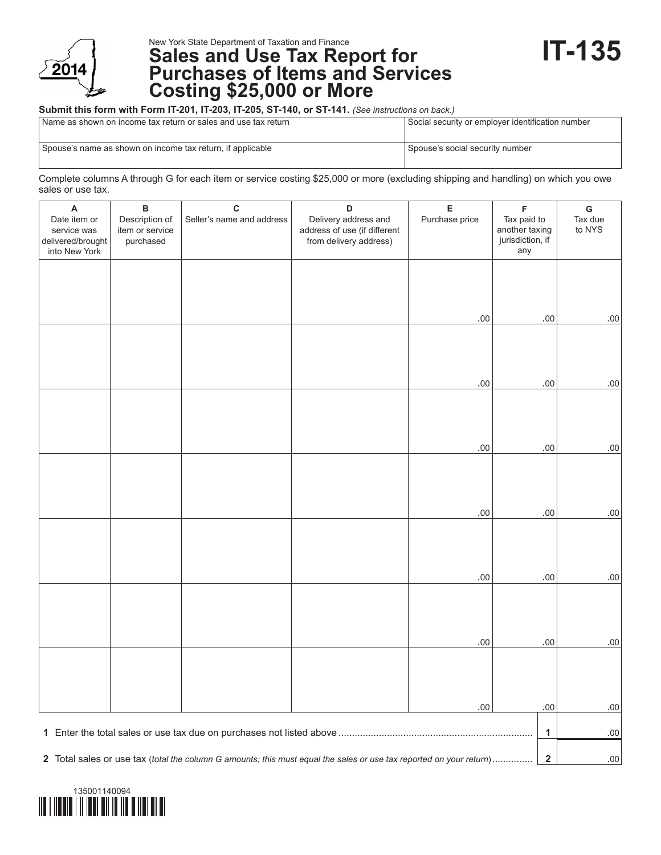

New York State Department of Taxation and Finance

# **Sales and Use Tax Report for Purchases of Items and Services Costing \$25,000 or More**

#### **Submit this form with Form IT-201, IT-203, IT-205, ST-140, or ST-141.** *(See instructions on back.)*

| Name as shown on income tax return or sales and use tax return | Social security or employer identification number |
|----------------------------------------------------------------|---------------------------------------------------|
| Spouse's name as shown on income tax return, if applicable     | Spouse's social security number                   |

Complete columns A through G for each item or service costing \$25,000 or more (excluding shipping and handling) on which you owe sales or use tax.

| Α                                                                                                                   | в               | C                         | D                            | $\mathsf E$    | $\mathsf F$                        | ${\mathsf G}$ |
|---------------------------------------------------------------------------------------------------------------------|-----------------|---------------------------|------------------------------|----------------|------------------------------------|---------------|
| Date item or                                                                                                        | Description of  | Seller's name and address | Delivery address and         | Purchase price | Tax paid to                        | Tax due       |
| service was                                                                                                         | item or service |                           | address of use (if different |                | another taxing<br>jurisdiction, if | to NYS        |
| delivered/brought<br>into New York                                                                                  | purchased       |                           | from delivery address)       |                | any                                |               |
|                                                                                                                     |                 |                           |                              |                |                                    |               |
|                                                                                                                     |                 |                           |                              |                |                                    |               |
|                                                                                                                     |                 |                           |                              |                |                                    |               |
|                                                                                                                     |                 |                           |                              |                |                                    |               |
|                                                                                                                     |                 |                           |                              | .00.           | $.00 \,$                           | $.00\,$       |
|                                                                                                                     |                 |                           |                              |                |                                    |               |
|                                                                                                                     |                 |                           |                              |                |                                    |               |
|                                                                                                                     |                 |                           |                              |                |                                    |               |
|                                                                                                                     |                 |                           |                              |                |                                    |               |
|                                                                                                                     |                 |                           |                              | .00            | .00                                | $.00 \,$      |
|                                                                                                                     |                 |                           |                              |                |                                    |               |
|                                                                                                                     |                 |                           |                              |                |                                    |               |
|                                                                                                                     |                 |                           |                              |                |                                    |               |
|                                                                                                                     |                 |                           |                              | .00.           | $.00 \,$                           | $.00 \,$      |
|                                                                                                                     |                 |                           |                              |                |                                    |               |
|                                                                                                                     |                 |                           |                              |                |                                    |               |
|                                                                                                                     |                 |                           |                              |                |                                    |               |
|                                                                                                                     |                 |                           |                              |                |                                    |               |
|                                                                                                                     |                 |                           |                              | .00.           | $.00 \,$                           | $.00\,$       |
|                                                                                                                     |                 |                           |                              |                |                                    |               |
|                                                                                                                     |                 |                           |                              |                |                                    |               |
|                                                                                                                     |                 |                           |                              |                |                                    |               |
|                                                                                                                     |                 |                           |                              |                |                                    |               |
|                                                                                                                     |                 |                           |                              | .00            | .00.                               | $.00\,$       |
|                                                                                                                     |                 |                           |                              |                |                                    |               |
|                                                                                                                     |                 |                           |                              |                |                                    |               |
|                                                                                                                     |                 |                           |                              |                |                                    |               |
|                                                                                                                     |                 |                           |                              | .00.           | .00.                               | $.00\,$       |
|                                                                                                                     |                 |                           |                              |                |                                    |               |
|                                                                                                                     |                 |                           |                              |                |                                    |               |
|                                                                                                                     |                 |                           |                              |                |                                    |               |
|                                                                                                                     |                 |                           |                              |                |                                    |               |
|                                                                                                                     |                 |                           |                              | .00.           | .00                                | .00.          |
|                                                                                                                     |                 |                           |                              |                |                                    |               |
|                                                                                                                     |                 |                           |                              |                | $\mathbf{1}$                       | $.00\,$       |
|                                                                                                                     |                 |                           |                              |                | $\mathbf 2$                        |               |
| 2 Total sales or use tax (total the column G amounts; this must equal the sales or use tax reported on your return) |                 |                           |                              |                |                                    | .00           |